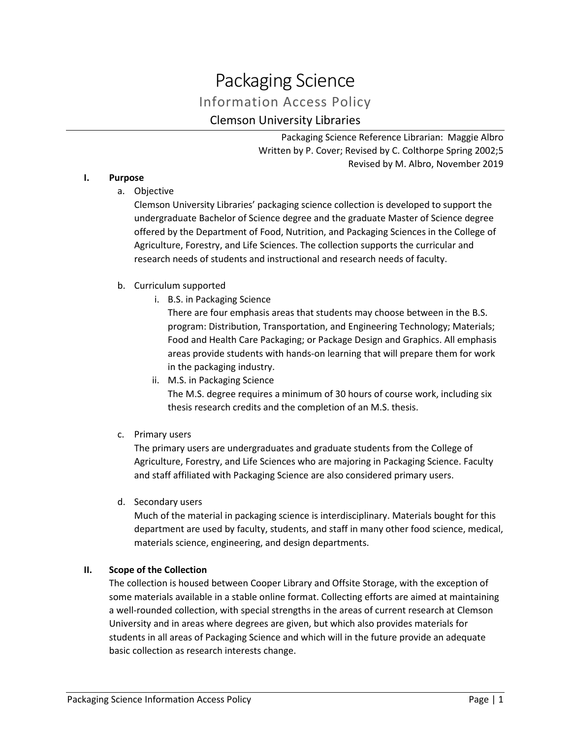# Packaging Science Information Access Policy Clemson University Libraries

Packaging Science Reference Librarian: Maggie Albro Written by P. Cover; Revised by C. Colthorpe Spring 2002;5 Revised by M. Albro, November 2019

## **I. Purpose**

a. Objective

Clemson University Libraries' packaging science collection is developed to support the undergraduate Bachelor of Science degree and the graduate Master of Science degree offered by the Department of Food, Nutrition, and Packaging Sciences in the College of Agriculture, Forestry, and Life Sciences. The collection supports the curricular and research needs of students and instructional and research needs of faculty.

## b. Curriculum supported

i. B.S. in Packaging Science

There are four emphasis areas that students may choose between in the B.S. program: Distribution, Transportation, and Engineering Technology; Materials; Food and Health Care Packaging; or Package Design and Graphics. All emphasis areas provide students with hands-on learning that will prepare them for work in the packaging industry.

- ii. M.S. in Packaging Science The M.S. degree requires a minimum of 30 hours of course work, including six thesis research credits and the completion of an M.S. thesis.
- c. Primary users

The primary users are undergraduates and graduate students from the College of Agriculture, Forestry, and Life Sciences who are majoring in Packaging Science. Faculty and staff affiliated with Packaging Science are also considered primary users.

d. Secondary users

Much of the material in packaging science is interdisciplinary. Materials bought for this department are used by faculty, students, and staff in many other food science, medical, materials science, engineering, and design departments.

#### **II. Scope of the Collection**

The collection is housed between Cooper Library and Offsite Storage, with the exception of some materials available in a stable online format. Collecting efforts are aimed at maintaining a well-rounded collection, with special strengths in the areas of current research at Clemson University and in areas where degrees are given, but which also provides materials for students in all areas of Packaging Science and which will in the future provide an adequate basic collection as research interests change.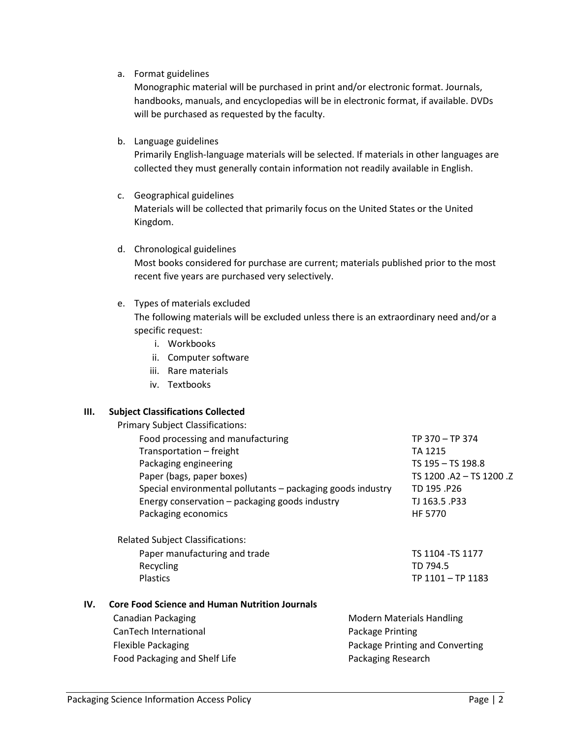a. Format guidelines

Monographic material will be purchased in print and/or electronic format. Journals, handbooks, manuals, and encyclopedias will be in electronic format, if available. DVDs will be purchased as requested by the faculty.

b. Language guidelines

Primarily English-language materials will be selected. If materials in other languages are collected they must generally contain information not readily available in English.

- c. Geographical guidelines Materials will be collected that primarily focus on the United States or the United Kingdom.
- d. Chronological guidelines Most books considered for purchase are current; materials published prior to the most recent five years are purchased very selectively.
- e. Types of materials excluded

The following materials will be excluded unless there is an extraordinary need and/or a specific request:

- i. Workbooks
- ii. Computer software
- iii. Rare materials
- iv. Textbooks

#### **III. Subject Classifications Collected**

Primary Subject Classifications:

| Food processing and manufacturing                           | TP 370 - TP 374              |
|-------------------------------------------------------------|------------------------------|
| Transportation - freight                                    | TA 1215                      |
| Packaging engineering                                       | TS 195 - TS 198.8            |
| Paper (bags, paper boxes)                                   | TS 1200 .A2 - TS 1200 .Z     |
| Special environmental pollutants - packaging goods industry | TD 195.P26                   |
| Energy conservation - packaging goods industry              | TJ 163.5 .P33                |
| Packaging economics                                         | <b>HF 5770</b>               |
| <b>Related Subject Classifications:</b>                     |                              |
| Danar manufacturing and trade                               | TC 1104 <sub>-</sub> TC 1177 |

Paper manufacturing and trade TS 1104 -TS 1104 -TS 1177 Recycling TD 794.5 Plastics TP 1101 – TP 1183

#### **IV. Core Food Science and Human Nutrition Journals**

| Canadian Packaging            | <b>Modern Materials Handling</b> |
|-------------------------------|----------------------------------|
| CanTech International         | Package Printing                 |
| Flexible Packaging            | Package Printing and Converting  |
| Food Packaging and Shelf Life | Packaging Research               |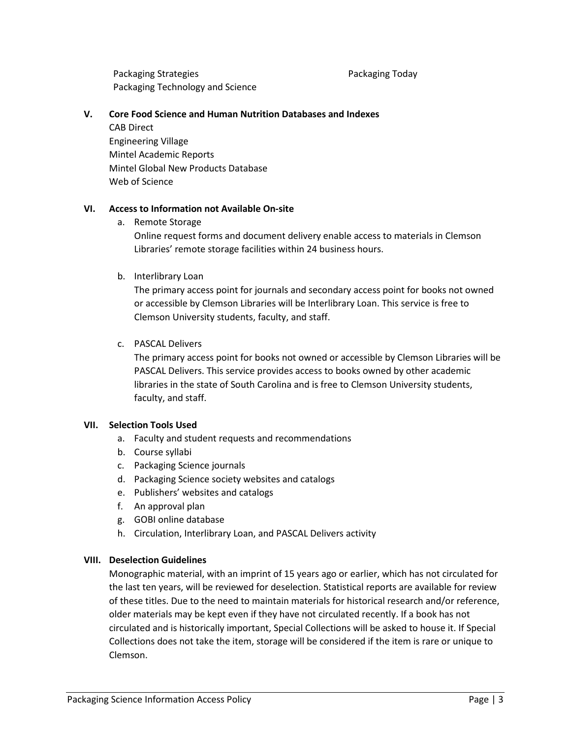Packaging Strategies Packaging Technology and Science Packaging Today

#### **V. Core Food Science and Human Nutrition Databases and Indexes**

CAB Direct Engineering Village Mintel Academic Reports Mintel Global New Products Database Web of Science

## **VI. Access to Information not Available On-site**

a. Remote Storage

Online request forms and document delivery enable access to materials in Clemson Libraries' remote storage facilities within 24 business hours.

## b. Interlibrary Loan

The primary access point for journals and secondary access point for books not owned or accessible by Clemson Libraries will be Interlibrary Loan. This service is free to Clemson University students, faculty, and staff.

## c. PASCAL Delivers

The primary access point for books not owned or accessible by Clemson Libraries will be PASCAL Delivers. This service provides access to books owned by other academic libraries in the state of South Carolina and is free to Clemson University students, faculty, and staff.

#### **VII. Selection Tools Used**

- a. Faculty and student requests and recommendations
- b. Course syllabi
- c. Packaging Science journals
- d. Packaging Science society websites and catalogs
- e. Publishers' websites and catalogs
- f. An approval plan
- g. GOBI online database
- h. Circulation, Interlibrary Loan, and PASCAL Delivers activity

## **VIII. Deselection Guidelines**

Monographic material, with an imprint of 15 years ago or earlier, which has not circulated for the last ten years, will be reviewed for deselection. Statistical reports are available for review of these titles. Due to the need to maintain materials for historical research and/or reference, older materials may be kept even if they have not circulated recently. If a book has not circulated and is historically important, Special Collections will be asked to house it. If Special Collections does not take the item, storage will be considered if the item is rare or unique to Clemson.